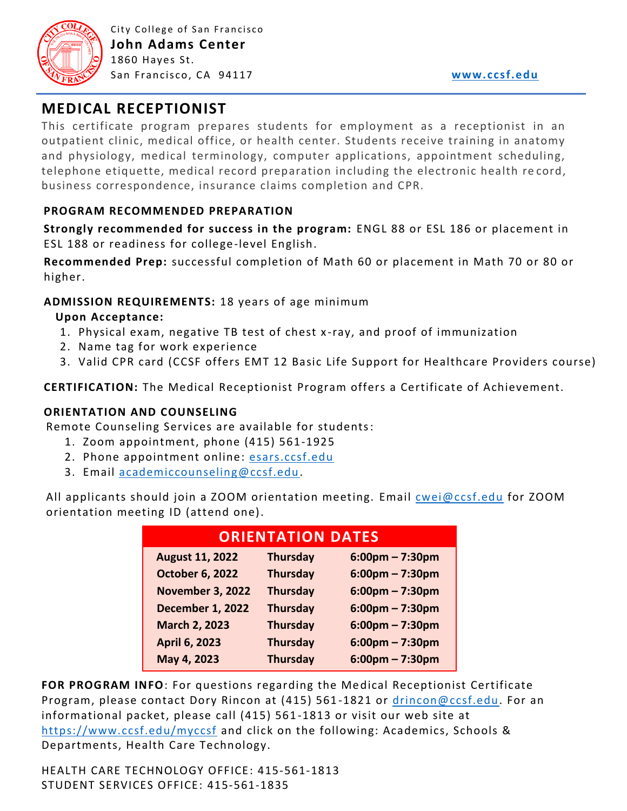

# **MEDICAL RECEPTIONIST**

This certificate program prepares students for employment as a receptionist in an outpatient clinic, medical office, or health center. Students receive training in anatomy and physiology, medical terminology, computer applications, appointment scheduling, telephone etiquette, medical record preparation including the electronic health re cord, business correspondence, insurance claims completion and CPR.

# **PROGRAM RECOMMENDED PREPARATION**

**Strongly recommended for success in the program:** ENGL 88 or ESL 186 or placement in ESL 188 or readiness for college-level English.

**Recommended Prep:** successful completion of Math 60 or placement in Math 70 or 80 or higher.

# **ADMISSION REQUIREMENTS:** 18 years of age minimum

## **Upon Acceptance:**

- 1. Physical exam, negative TB test of chest x -ray, and proof of immunization
- 2. Name tag for work experience
- 3. Valid CPR card (CCSF offers EMT 12 Basic Life Support for Healthcare Providers course)

**CERTIFICATION:** The Medical Receptionist Program offers a Certificate of Achievement.

### **ORIENTATION AND COUNSELING**

Remote Counseling Services are available for students:

- 1. Zoom appointment, phone (415) 561-1925
- 2. Phone appointment online: [esars.ccsf.edu](https://esars.ccsf.edu/)
- 3. Email [academiccounseling@ccsf.edu.](mailto:academiccounseling@ccsf.edu)

All applicants should join a ZOOM orientation meeting. Email [cwei@ccsf.edu](mailto:cwei@ccsf.edu) for ZOOM orientation meeting ID (attend one).

| <b>ORIENTATION DATES</b> |                 |                                   |
|--------------------------|-----------------|-----------------------------------|
| <b>August 11, 2022</b>   | <b>Thursday</b> | $6:00 \text{pm} - 7:30 \text{pm}$ |
| <b>October 6, 2022</b>   | <b>Thursday</b> | $6:00$ pm – 7:30pm                |
| <b>November 3, 2022</b>  | <b>Thursday</b> | $6:00$ pm – 7:30pm                |
| <b>December 1, 2022</b>  | <b>Thursday</b> | $6:00 \text{pm} - 7:30 \text{pm}$ |
| <b>March 2, 2023</b>     | <b>Thursday</b> | $6:00$ pm – 7:30pm                |
| <b>April 6, 2023</b>     | <b>Thursday</b> | $6:00 \text{pm} - 7:30 \text{pm}$ |
| May 4, 2023              | <b>Thursday</b> | $6:00 \text{pm} - 7:30 \text{pm}$ |

**FOR PROGRAM INFO**: For questions regarding the Medical Receptionist Certificate Program, please contact Dory Rincon at (415) 561-1821 or [drincon@ccsf.edu.](mailto:drincon@ccsf.edu) For an informational packet, please call (415) 561 -1813 or visit our web site at <https://www.ccsf.edu/myccsf> and click on the following: Academics, Schools & Departments, Health Care Technology.

HEALTH CARE TECHNOLOGY OFFICE: 415-561-1813 STUDENT SERVICES OFFICE: 415-561-1835